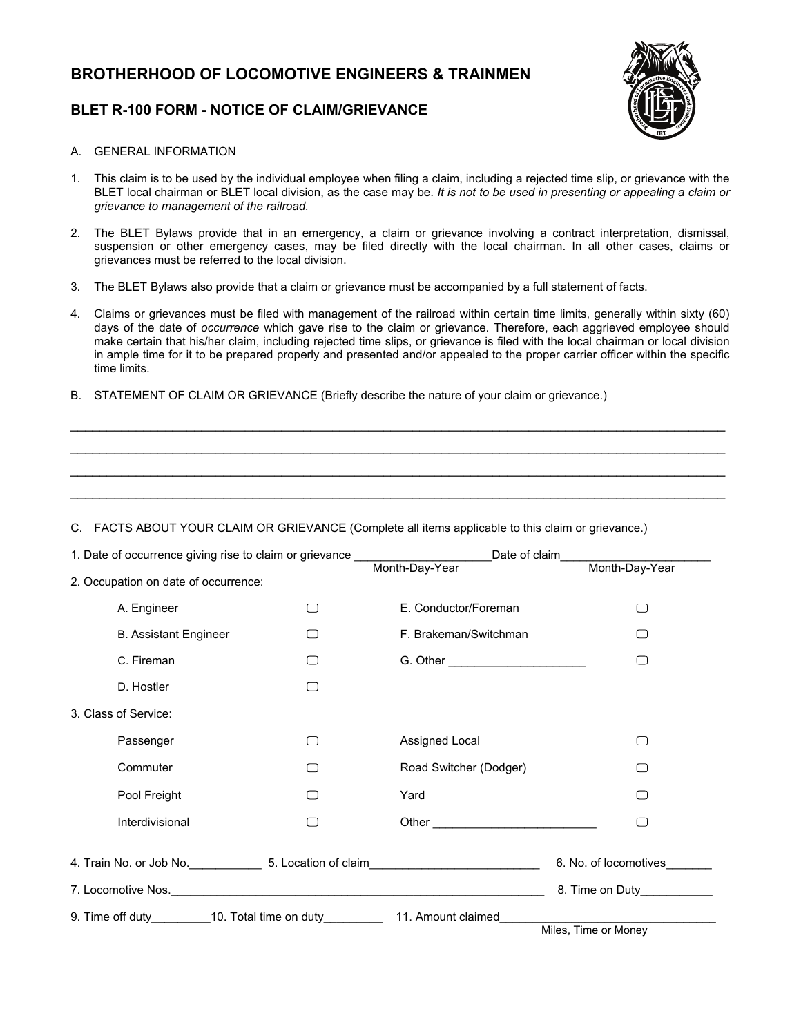# **BROTHERHOOD OF LOCOMOTIVE ENGINEERS & TRAINMEN**

### **BLET R-100 FORM - NOTICE OF CLAIM/GRIEVANCE**



#### A. GENERAL INFORMATION

- 1. This claim is to be used by the individual employee when filing a claim, including a rejected time slip, or grievance with the BLET local chairman or BLET local division, as the case may be. *It is not to be used in presenting or appealing a claim or grievance to management of the railroad.*
- 2. The BLET Bylaws provide that in an emergency, a claim or grievance involving a contract interpretation, dismissal, suspension or other emergency cases, may be filed directly with the local chairman. In all other cases, claims or grievances must be referred to the local division.
- 3. The BLET Bylaws also provide that a claim or grievance must be accompanied by a full statement of facts.
- 4. Claims or grievances must be filed with management of the railroad within certain time limits, generally within sixty (60) days of the date of *occurrence* which gave rise to the claim or grievance. Therefore, each aggrieved employee should make certain that his/her claim, including rejected time slips, or grievance is filed with the local chairman or local division in ample time for it to be prepared properly and presented and/or appealed to the proper carrier officer within the specific time limits.

 $\mathcal{L}_\mathcal{L} = \{ \mathcal{L}_\mathcal{L} = \{ \mathcal{L}_\mathcal{L} = \{ \mathcal{L}_\mathcal{L} = \{ \mathcal{L}_\mathcal{L} = \{ \mathcal{L}_\mathcal{L} = \{ \mathcal{L}_\mathcal{L} = \{ \mathcal{L}_\mathcal{L} = \{ \mathcal{L}_\mathcal{L} = \{ \mathcal{L}_\mathcal{L} = \{ \mathcal{L}_\mathcal{L} = \{ \mathcal{L}_\mathcal{L} = \{ \mathcal{L}_\mathcal{L} = \{ \mathcal{L}_\mathcal{L} = \{ \mathcal{L}_\mathcal{$  $\mathcal{L}_\mathcal{L} = \{ \mathcal{L}_\mathcal{L} = \{ \mathcal{L}_\mathcal{L} = \{ \mathcal{L}_\mathcal{L} = \{ \mathcal{L}_\mathcal{L} = \{ \mathcal{L}_\mathcal{L} = \{ \mathcal{L}_\mathcal{L} = \{ \mathcal{L}_\mathcal{L} = \{ \mathcal{L}_\mathcal{L} = \{ \mathcal{L}_\mathcal{L} = \{ \mathcal{L}_\mathcal{L} = \{ \mathcal{L}_\mathcal{L} = \{ \mathcal{L}_\mathcal{L} = \{ \mathcal{L}_\mathcal{L} = \{ \mathcal{L}_\mathcal{$  $\mathcal{L}_\mathcal{L} = \{ \mathcal{L}_\mathcal{L} = \{ \mathcal{L}_\mathcal{L} = \{ \mathcal{L}_\mathcal{L} = \{ \mathcal{L}_\mathcal{L} = \{ \mathcal{L}_\mathcal{L} = \{ \mathcal{L}_\mathcal{L} = \{ \mathcal{L}_\mathcal{L} = \{ \mathcal{L}_\mathcal{L} = \{ \mathcal{L}_\mathcal{L} = \{ \mathcal{L}_\mathcal{L} = \{ \mathcal{L}_\mathcal{L} = \{ \mathcal{L}_\mathcal{L} = \{ \mathcal{L}_\mathcal{L} = \{ \mathcal{L}_\mathcal{$  $\mathcal{L}_\mathcal{L} = \{ \mathcal{L}_\mathcal{L} = \{ \mathcal{L}_\mathcal{L} = \{ \mathcal{L}_\mathcal{L} = \{ \mathcal{L}_\mathcal{L} = \{ \mathcal{L}_\mathcal{L} = \{ \mathcal{L}_\mathcal{L} = \{ \mathcal{L}_\mathcal{L} = \{ \mathcal{L}_\mathcal{L} = \{ \mathcal{L}_\mathcal{L} = \{ \mathcal{L}_\mathcal{L} = \{ \mathcal{L}_\mathcal{L} = \{ \mathcal{L}_\mathcal{L} = \{ \mathcal{L}_\mathcal{L} = \{ \mathcal{L}_\mathcal{$ 

B. STATEMENT OF CLAIM OR GRIEVANCE (Briefly describe the nature of your claim or grievance.)

#### C. FACTS ABOUT YOUR CLAIM OR GRIEVANCE (Complete all items applicable to this claim or grievance.)

|                                      | 1. Date of occurrence giving rise to claim or grievance ________________________<br>Date of claim |                                                                                                                                                                                                                               |                       |
|--------------------------------------|---------------------------------------------------------------------------------------------------|-------------------------------------------------------------------------------------------------------------------------------------------------------------------------------------------------------------------------------|-----------------------|
|                                      |                                                                                                   | Month-Day-Year                                                                                                                                                                                                                | Month-Day-Year        |
| 2. Occupation on date of occurrence: |                                                                                                   |                                                                                                                                                                                                                               |                       |
| A. Engineer                          |                                                                                                   | E. Conductor/Foreman                                                                                                                                                                                                          | □                     |
| <b>B. Assistant Engineer</b>         |                                                                                                   | F. Brakeman/Switchman                                                                                                                                                                                                         | $\Box$                |
| C. Fireman                           |                                                                                                   | G. Other _______________________                                                                                                                                                                                              | $\Box$                |
| D. Hostler                           |                                                                                                   |                                                                                                                                                                                                                               |                       |
| 3. Class of Service:                 |                                                                                                   |                                                                                                                                                                                                                               |                       |
| Passenger                            |                                                                                                   | Assigned Local                                                                                                                                                                                                                | $\Box$                |
| Commuter                             |                                                                                                   | Road Switcher (Dodger)                                                                                                                                                                                                        | $\Box$                |
| Pool Freight                         |                                                                                                   | Yard                                                                                                                                                                                                                          | □                     |
| Interdivisional                      |                                                                                                   | Other and the contract of the contract of the contract of the contract of the contract of the contract of the contract of the contract of the contract of the contract of the contract of the contract of the contract of the | □                     |
|                                      |                                                                                                   |                                                                                                                                                                                                                               | 6. No. of locomotives |
|                                      |                                                                                                   |                                                                                                                                                                                                                               |                       |
|                                      |                                                                                                   |                                                                                                                                                                                                                               |                       |
|                                      |                                                                                                   |                                                                                                                                                                                                                               |                       |
|                                      |                                                                                                   |                                                                                                                                                                                                                               | Miles, Time or Money  |